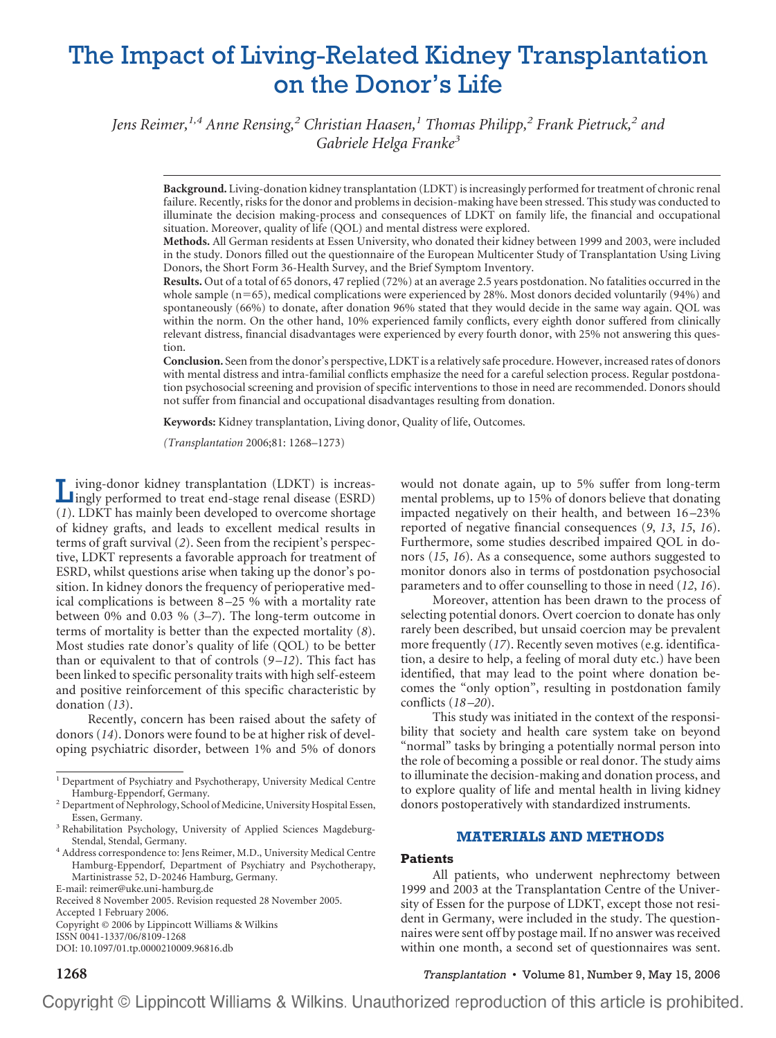# The Impact of Living-Related Kidney Transplantation on the Donor's Life

*Jens Reimer,1,4 Anne Rensing,<sup>2</sup> Christian Haasen,<sup>1</sup> Thomas Philipp,<sup>2</sup> Frank Pietruck,<sup>2</sup> and Gabriele Helga Franke<sup>3</sup>*

**Background.** Living-donation kidney transplantation (LDKT) is increasingly performed for treatment of chronic renal failure. Recently, risks for the donor and problems in decision-making have been stressed. This study was conducted to illuminate the decision making-process and consequences of LDKT on family life, the financial and occupational situation. Moreover, quality of life (QOL) and mental distress were explored.

**Methods.** All German residents at Essen University, who donated their kidney between 1999 and 2003, were included in the study. Donors filled out the questionnaire of the European Multicenter Study of Transplantation Using Living Donors, the Short Form 36-Health Survey, and the Brief Symptom Inventory.

**Results.** Out of a total of 65 donors, 47 replied (72%) at an average 2.5 years postdonation. No fatalities occurred in the whole sample ( $n=65$ ), medical complications were experienced by 28%. Most donors decided voluntarily (94%) and spontaneously (66%) to donate, after donation 96% stated that they would decide in the same way again. QOL was within the norm. On the other hand, 10% experienced family conflicts, every eighth donor suffered from clinically relevant distress, financial disadvantages were experienced by every fourth donor, with 25% not answering this question.

**Conclusion.** Seen from the donor's perspective, LDKT is a relatively safe procedure. However, increased rates of donors with mental distress and intra-familial conflicts emphasize the need for a careful selection process. Regular postdonation psychosocial screening and provision of specific interventions to those in need are recommended. Donors should not suffer from financial and occupational disadvantages resulting from donation.

**Keywords:** Kidney transplantation, Living donor, Quality of life, Outcomes.

*(Transplantation* 2006;81: 1268–1273)

Living-donor kidney transplantation (LDKT) is increas-ingly performed to treat end-stage renal disease (ESRD) (*1*). LDKT has mainly been developed to overcome shortage of kidney grafts, and leads to excellent medical results in terms of graft survival (*2*). Seen from the recipient's perspective, LDKT represents a favorable approach for treatment of ESRD, whilst questions arise when taking up the donor's position. In kidney donors the frequency of perioperative medical complications is between 8 –25 % with a mortality rate between 0% and 0.03 % (*3–7*). The long-term outcome in terms of mortality is better than the expected mortality (*8*). Most studies rate donor's quality of life (QOL) to be better than or equivalent to that of controls (*9 –12*). This fact has been linked to specific personality traits with high self-esteem and positive reinforcement of this specific characteristic by donation (*13*).

Recently, concern has been raised about the safety of donors (*14*). Donors were found to be at higher risk of developing psychiatric disorder, between 1% and 5% of donors

Accepted 1 February 2006.

Copyright © 2006 by Lippincott Williams & Wilkins

ISSN 0041-1337/06/8109-1268 DOI: 10.1097/01.tp.0000210009.96816.db

would not donate again, up to 5% suffer from long-term mental problems, up to 15% of donors believe that donating impacted negatively on their health, and between 16 –23% reported of negative financial consequences (*9*, *13*, *15*, *16*). Furthermore, some studies described impaired QOL in donors (*15*, *16*). As a consequence, some authors suggested to monitor donors also in terms of postdonation psychosocial parameters and to offer counselling to those in need (*12*, *16*).

Moreover, attention has been drawn to the process of selecting potential donors. Overt coercion to donate has only rarely been described, but unsaid coercion may be prevalent more frequently (*17*). Recently seven motives (e.g. identification, a desire to help, a feeling of moral duty etc.) have been identified, that may lead to the point where donation becomes the "only option", resulting in postdonation family conflicts (*18 –20*).

This study was initiated in the context of the responsibility that society and health care system take on beyond "normal" tasks by bringing a potentially normal person into the role of becoming a possible or real donor. The study aims to illuminate the decision-making and donation process, and to explore quality of life and mental health in living kidney donors postoperatively with standardized instruments.

# **MATERIALS AND METHODS**

## **Patients**

All patients, who underwent nephrectomy between 1999 and 2003 at the Transplantation Centre of the University of Essen for the purpose of LDKT, except those not resident in Germany, were included in the study. The questionnaires were sent off by postage mail. If no answer was received within one month, a second set of questionnaires was sent.

**1268** *Transplantation* • Volume 81, Number 9, May 15, 2006

 $^1$  Department of Psychiatry and Psychotherapy, University Medical Centre Hamburg-Eppendorf, Germany.

 $^2$  Department of Nephrology, School of Medicine, University Hospital Essen, Essen, Germany.

<sup>&</sup>lt;sup>3</sup> Rehabilitation Psychology, University of Applied Sciences Magdeburg-Stendal, Stendal, Germany.

<sup>&</sup>lt;sup>4</sup> Address correspondence to: Jens Reimer, M.D., University Medical Centre Hamburg-Eppendorf, Department of Psychiatry and Psychotherapy, Martinistrasse 52, D-20246 Hamburg, Germany.

E-mail: reimer@uke.uni-hamburg.de

Received 8 November 2005. Revision requested 28 November 2005.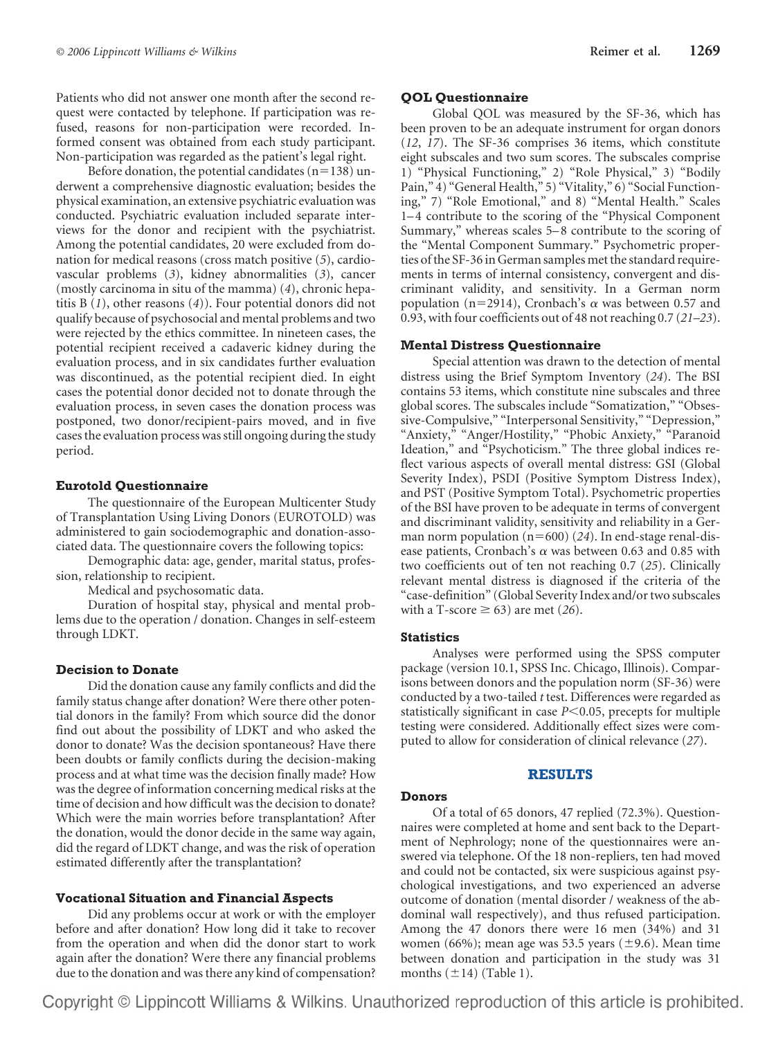Patients who did not answer one month after the second request were contacted by telephone. If participation was refused, reasons for non-participation were recorded. Informed consent was obtained from each study participant. Non-participation was regarded as the patient's legal right.

Before donation, the potential candidates  $(n=138)$  underwent a comprehensive diagnostic evaluation; besides the physical examination, an extensive psychiatric evaluation was conducted. Psychiatric evaluation included separate interviews for the donor and recipient with the psychiatrist. Among the potential candidates, 20 were excluded from donation for medical reasons (cross match positive (*5*), cardiovascular problems (*3*), kidney abnormalities (*3*), cancer (mostly carcinoma in situ of the mamma) (*4*), chronic hepatitis B (*1*), other reasons (*4*)). Four potential donors did not qualify because of psychosocial and mental problems and two were rejected by the ethics committee. In nineteen cases, the potential recipient received a cadaveric kidney during the evaluation process, and in six candidates further evaluation was discontinued, as the potential recipient died. In eight cases the potential donor decided not to donate through the evaluation process, in seven cases the donation process was postponed, two donor/recipient-pairs moved, and in five cases the evaluation process was still ongoing during the study period.

# **Eurotold Questionnaire**

The questionnaire of the European Multicenter Study of Transplantation Using Living Donors (EUROTOLD) was administered to gain sociodemographic and donation-associated data. The questionnaire covers the following topics:

Demographic data: age, gender, marital status, profession, relationship to recipient.

Medical and psychosomatic data.

Duration of hospital stay, physical and mental problems due to the operation / donation. Changes in self-esteem through LDKT.

# **Decision to Donate**

Did the donation cause any family conflicts and did the family status change after donation? Were there other potential donors in the family? From which source did the donor find out about the possibility of LDKT and who asked the donor to donate? Was the decision spontaneous? Have there been doubts or family conflicts during the decision-making process and at what time was the decision finally made? How was the degree of information concerning medical risks at the time of decision and how difficult was the decision to donate? Which were the main worries before transplantation? After the donation, would the donor decide in the same way again, did the regard of LDKT change, and was the risk of operation estimated differently after the transplantation?

#### **Vocational Situation and Financial Aspects**

Did any problems occur at work or with the employer before and after donation? How long did it take to recover from the operation and when did the donor start to work again after the donation? Were there any financial problems due to the donation and was there any kind of compensation?

# **QOL Questionnaire**

Global QOL was measured by the SF-36, which has been proven to be an adequate instrument for organ donors (*12*, *17*). The SF-36 comprises 36 items, which constitute eight subscales and two sum scores. The subscales comprise 1) "Physical Functioning," 2) "Role Physical," 3) "Bodily Pain," 4) "General Health," 5) "Vitality," 6) "Social Functioning," 7) "Role Emotional," and 8) "Mental Health." Scales 1–4 contribute to the scoring of the "Physical Component Summary," whereas scales 5–8 contribute to the scoring of the "Mental Component Summary." Psychometric properties of the SF-36 in German samples met the standard requirements in terms of internal consistency, convergent and discriminant validity, and sensitivity. In a German norm population (n=2914), Cronbach's  $\alpha$  was between 0.57 and 0.93, with four coefficients out of 48 not reaching 0.7 (*21–23*).

## **Mental Distress Questionnaire**

Special attention was drawn to the detection of mental distress using the Brief Symptom Inventory (*24*). The BSI contains 53 items, which constitute nine subscales and three global scores. The subscales include "Somatization," "Obsessive-Compulsive," "Interpersonal Sensitivity," "Depression," "Anxiety," "Anger/Hostility," "Phobic Anxiety," "Paranoid Ideation," and "Psychoticism." The three global indices reflect various aspects of overall mental distress: GSI (Global Severity Index), PSDI (Positive Symptom Distress Index), and PST (Positive Symptom Total). Psychometric properties of the BSI have proven to be adequate in terms of convergent and discriminant validity, sensitivity and reliability in a German norm population  $(n=600)$  (24). In end-stage renal-disease patients, Cronbach's  $\alpha$  was between 0.63 and 0.85 with two coefficients out of ten not reaching 0.7 (*25*). Clinically relevant mental distress is diagnosed if the criteria of the "case-definition" (Global Severity Index and/or two subscales with a T-score  $\geq 63$ ) are met (26).

#### **Statistics**

Analyses were performed using the SPSS computer package (version 10.1, SPSS Inc. Chicago, Illinois). Comparisons between donors and the population norm (SF-36) were conducted by a two-tailed *t* test. Differences were regarded as statistically significant in case *P*<0.05, precepts for multiple testing were considered. Additionally effect sizes were computed to allow for consideration of clinical relevance (*27*).

#### **RESULTS**

#### **Donors**

Of a total of 65 donors, 47 replied (72.3%). Questionnaires were completed at home and sent back to the Department of Nephrology; none of the questionnaires were answered via telephone. Of the 18 non-repliers, ten had moved and could not be contacted, six were suspicious against psychological investigations, and two experienced an adverse outcome of donation (mental disorder / weakness of the abdominal wall respectively), and thus refused participation. Among the 47 donors there were 16 men (34%) and 31 women (66%); mean age was 53.5 years ( $\pm$ 9.6). Mean time between donation and participation in the study was 31 months  $(\pm 14)$  (Table 1).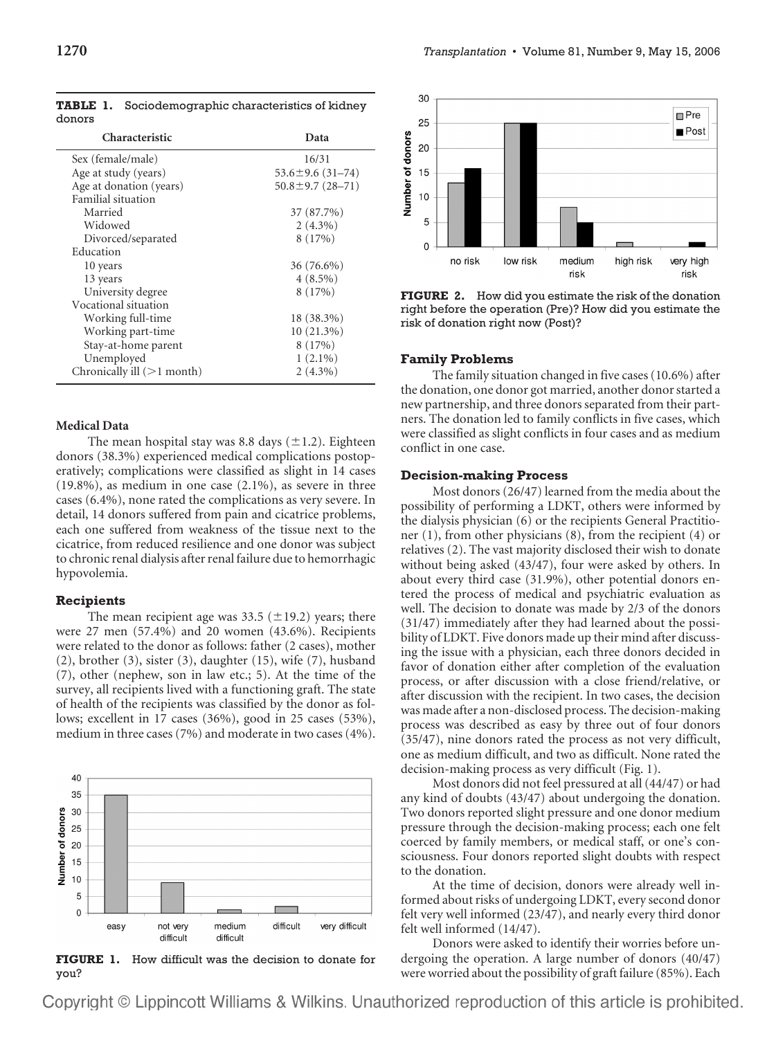| Characteristic             | Data                   |
|----------------------------|------------------------|
| Sex (female/male)          | 16/31                  |
| Age at study (years)       | $53.6 \pm 9.6$ (31-74) |
| Age at donation (years)    | $50.8 \pm 9.7$ (28-71) |
| Familial situation         |                        |
| Married                    | 37 (87.7%)             |
| Widowed                    | $2(4.3\%)$             |
| Divorced/separated         | 8(17%)                 |
| Education                  |                        |
| 10 years                   | 36 (76.6%)             |
| 13 years                   | $4(8.5\%)$             |
| University degree          | 8(17%)                 |
| Vocational situation       |                        |
| Working full-time          | 18 (38.3%)             |
| Working part-time          | $10(21.3\%)$           |
| Stay-at-home parent        | 8(17%)                 |
| Unemployed                 | $1(2.1\%)$             |
| Chronically ill (>1 month) | $2(4.3\%)$             |

**TABLE 1.** Sociodemographic characteristics of kidney donors

# **Medical Data**

The mean hospital stay was 8.8 days  $(\pm 1.2)$ . Eighteen donors (38.3%) experienced medical complications postoperatively; complications were classified as slight in 14 cases (19.8%), as medium in one case (2.1%), as severe in three cases (6.4%), none rated the complications as very severe. In detail, 14 donors suffered from pain and cicatrice problems, each one suffered from weakness of the tissue next to the cicatrice, from reduced resilience and one donor was subject to chronic renal dialysis after renal failure due to hemorrhagic hypovolemia.

#### **Recipients**

The mean recipient age was 33.5 ( $\pm$ 19.2) years; there were 27 men (57.4%) and 20 women (43.6%). Recipients were related to the donor as follows: father (2 cases), mother (2), brother (3), sister (3), daughter (15), wife (7), husband (7), other (nephew, son in law etc.; 5). At the time of the survey, all recipients lived with a functioning graft. The state of health of the recipients was classified by the donor as follows; excellent in 17 cases (36%), good in 25 cases (53%), medium in three cases (7%) and moderate in two cases (4%).



**FIGURE 1.** How difficult was the decision to donate for you?



**FIGURE 2.** How did you estimate the risk of the donation right before the operation (Pre)? How did you estimate the risk of donation right now (Post)?

#### **Family Problems**

The family situation changed in five cases (10.6%) after the donation, one donor got married, another donor started a new partnership, and three donors separated from their partners. The donation led to family conflicts in five cases, which were classified as slight conflicts in four cases and as medium conflict in one case.

#### **Decision-making Process**

Most donors (26/47) learned from the media about the possibility of performing a LDKT, others were informed by the dialysis physician (6) or the recipients General Practitioner (1), from other physicians (8), from the recipient (4) or relatives (2). The vast majority disclosed their wish to donate without being asked (43/47), four were asked by others. In about every third case (31.9%), other potential donors entered the process of medical and psychiatric evaluation as well. The decision to donate was made by 2/3 of the donors (31/47) immediately after they had learned about the possibility of LDKT. Five donors made up their mind after discussing the issue with a physician, each three donors decided in favor of donation either after completion of the evaluation process, or after discussion with a close friend/relative, or after discussion with the recipient. In two cases, the decision was made after a non-disclosed process. The decision-making process was described as easy by three out of four donors (35/47), nine donors rated the process as not very difficult, one as medium difficult, and two as difficult. None rated the decision-making process as very difficult (Fig. 1).

Most donors did not feel pressured at all (44/47) or had any kind of doubts (43/47) about undergoing the donation. Two donors reported slight pressure and one donor medium pressure through the decision-making process; each one felt coerced by family members, or medical staff, or one's consciousness. Four donors reported slight doubts with respect to the donation.

At the time of decision, donors were already well informed about risks of undergoing LDKT, every second donor felt very well informed (23/47), and nearly every third donor felt well informed (14/47).

Donors were asked to identify their worries before undergoing the operation. A large number of donors (40/47) were worried about the possibility of graft failure (85%). Each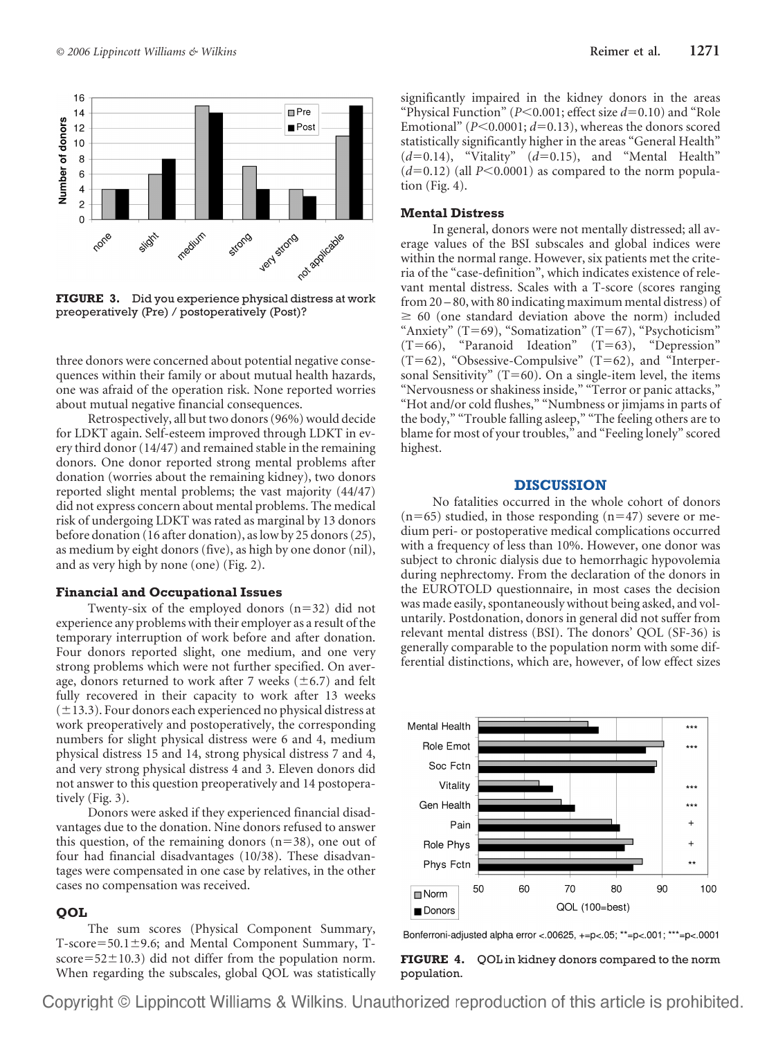

**FIGURE 3.** Did you experience physical distress at work preoperatively (Pre) / postoperatively (Post)?

three donors were concerned about potential negative consequences within their family or about mutual health hazards, one was afraid of the operation risk. None reported worries about mutual negative financial consequences.

Retrospectively, all but two donors (96%) would decide for LDKT again. Self-esteem improved through LDKT in every third donor (14/47) and remained stable in the remaining donors. One donor reported strong mental problems after donation (worries about the remaining kidney), two donors reported slight mental problems; the vast majority (44/47) did not express concern about mental problems. The medical risk of undergoing LDKT was rated as marginal by 13 donors before donation (16 after donation), as low by 25 donors (*25*), as medium by eight donors (five), as high by one donor (nil), and as very high by none (one) (Fig. 2).

### **Financial and Occupational Issues**

Twenty-six of the employed donors  $(n=32)$  did not experience any problems with their employer as a result of the temporary interruption of work before and after donation. Four donors reported slight, one medium, and one very strong problems which were not further specified. On average, donors returned to work after 7 weeks  $(\pm 6.7)$  and felt fully recovered in their capacity to work after 13 weeks  $(\pm 13.3)$ . Four donors each experienced no physical distress at work preoperatively and postoperatively, the corresponding numbers for slight physical distress were 6 and 4, medium physical distress 15 and 14, strong physical distress 7 and 4, and very strong physical distress 4 and 3. Eleven donors did not answer to this question preoperatively and 14 postoperatively (Fig. 3).

Donors were asked if they experienced financial disadvantages due to the donation. Nine donors refused to answer this question, of the remaining donors  $(n=38)$ , one out of four had financial disadvantages (10/38). These disadvantages were compensated in one case by relatives, in the other cases no compensation was received.

## **QOL**

The sum scores (Physical Component Summary, T-score=50.1 $\pm$ 9.6; and Mental Component Summary, Tscore= $52\pm10.3$ ) did not differ from the population norm. When regarding the subscales, global QOL was statistically significantly impaired in the kidney donors in the areas "Physical Function" (*P*<0.001; effect size *d*=0.10) and "Role Emotional" ( $P \le 0.0001$ ;  $d = 0.13$ ), whereas the donors scored statistically significantly higher in the areas "General Health"  $(d=0.14)$ , "Vitality"  $(d=0.15)$ , and "Mental Health"  $(d=0.12)$  (all  $P<0.0001$ ) as compared to the norm population (Fig. 4).

#### **Mental Distress**

In general, donors were not mentally distressed; all average values of the BSI subscales and global indices were within the normal range. However, six patients met the criteria of the "case-definition", which indicates existence of relevant mental distress. Scales with a T-score (scores ranging from 20 – 80, with 80 indicating maximum mental distress) of  $\geq 60$  (one standard deviation above the norm) included "Anxiety" (T=69), "Somatization" (T=67), "Psychoticism"  $(T=66)$ , "Paranoid Ideation"  $(T=63)$ , "Depression"  $(T=62)$ , "Obsessive-Compulsive"  $(T=62)$ , and "Interpersonal Sensitivity"  $(T=60)$ . On a single-item level, the items "Nervousness or shakiness inside," "Terror or panic attacks," "Hot and/or cold flushes," "Numbness or jimjams in parts of the body," "Trouble falling asleep," "The feeling others are to blame for most of your troubles," and "Feeling lonely" scored highest.

## **DISCUSSION**

No fatalities occurred in the whole cohort of donors  $(n=65)$  studied, in those responding  $(n=47)$  severe or medium peri- or postoperative medical complications occurred with a frequency of less than 10%. However, one donor was subject to chronic dialysis due to hemorrhagic hypovolemia during nephrectomy. From the declaration of the donors in the EUROTOLD questionnaire, in most cases the decision was made easily, spontaneously without being asked, and voluntarily. Postdonation, donors in general did not suffer from relevant mental distress (BSI). The donors' QOL (SF-36) is generally comparable to the population norm with some differential distinctions, which are, however, of low effect sizes



Bonferroni-adjusted alpha error <.00625, +=p<.05; \*\*=p<.001; \*\*\*=p<.0001

**FIGURE 4.** QOL in kidney donors compared to the norm population.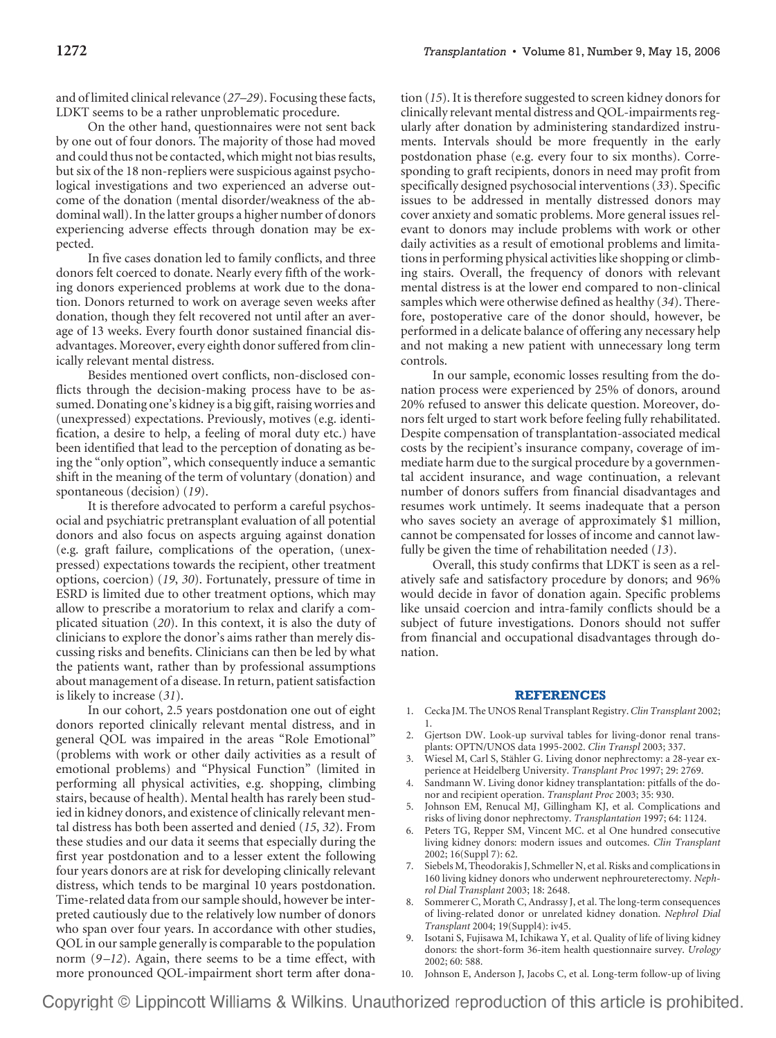and of limited clinical relevance (*27–29*). Focusing these facts, LDKT seems to be a rather unproblematic procedure.

On the other hand, questionnaires were not sent back by one out of four donors. The majority of those had moved and could thus not be contacted, which might not bias results, but six of the 18 non-repliers were suspicious against psychological investigations and two experienced an adverse outcome of the donation (mental disorder/weakness of the abdominal wall). In the latter groups a higher number of donors experiencing adverse effects through donation may be expected.

In five cases donation led to family conflicts, and three donors felt coerced to donate. Nearly every fifth of the working donors experienced problems at work due to the donation. Donors returned to work on average seven weeks after donation, though they felt recovered not until after an average of 13 weeks. Every fourth donor sustained financial disadvantages. Moreover, every eighth donor suffered from clinically relevant mental distress.

Besides mentioned overt conflicts, non-disclosed conflicts through the decision-making process have to be assumed. Donating one's kidney is a big gift, raising worries and (unexpressed) expectations. Previously, motives (e.g. identification, a desire to help, a feeling of moral duty etc.) have been identified that lead to the perception of donating as being the "only option", which consequently induce a semantic shift in the meaning of the term of voluntary (donation) and spontaneous (decision) (*19*).

It is therefore advocated to perform a careful psychosocial and psychiatric pretransplant evaluation of all potential donors and also focus on aspects arguing against donation (e.g. graft failure, complications of the operation, (unexpressed) expectations towards the recipient, other treatment options, coercion) (*19*, *30*). Fortunately, pressure of time in ESRD is limited due to other treatment options, which may allow to prescribe a moratorium to relax and clarify a complicated situation (*20*). In this context, it is also the duty of clinicians to explore the donor's aims rather than merely discussing risks and benefits. Clinicians can then be led by what the patients want, rather than by professional assumptions about management of a disease. In return, patient satisfaction is likely to increase (*31*).

In our cohort, 2.5 years postdonation one out of eight donors reported clinically relevant mental distress, and in general QOL was impaired in the areas "Role Emotional" (problems with work or other daily activities as a result of emotional problems) and "Physical Function" (limited in performing all physical activities, e.g. shopping, climbing stairs, because of health). Mental health has rarely been studied in kidney donors, and existence of clinically relevant mental distress has both been asserted and denied (*15*, *32*). From these studies and our data it seems that especially during the first year postdonation and to a lesser extent the following four years donors are at risk for developing clinically relevant distress, which tends to be marginal 10 years postdonation. Time-related data from our sample should, however be interpreted cautiously due to the relatively low number of donors who span over four years. In accordance with other studies, QOL in our sample generally is comparable to the population norm (*9 –12*). Again, there seems to be a time effect, with more pronounced QOL-impairment short term after donation (*15*). It is therefore suggested to screen kidney donors for clinically relevant mental distress and QOL-impairments regularly after donation by administering standardized instruments. Intervals should be more frequently in the early postdonation phase (e.g. every four to six months). Corresponding to graft recipients, donors in need may profit from specifically designed psychosocial interventions (*33*). Specific issues to be addressed in mentally distressed donors may cover anxiety and somatic problems. More general issues relevant to donors may include problems with work or other daily activities as a result of emotional problems and limitations in performing physical activities like shopping or climbing stairs. Overall, the frequency of donors with relevant mental distress is at the lower end compared to non-clinical samples which were otherwise defined as healthy (*34*). Therefore, postoperative care of the donor should, however, be performed in a delicate balance of offering any necessary help and not making a new patient with unnecessary long term controls.

In our sample, economic losses resulting from the donation process were experienced by 25% of donors, around 20% refused to answer this delicate question. Moreover, donors felt urged to start work before feeling fully rehabilitated. Despite compensation of transplantation-associated medical costs by the recipient's insurance company, coverage of immediate harm due to the surgical procedure by a governmental accident insurance, and wage continuation, a relevant number of donors suffers from financial disadvantages and resumes work untimely. It seems inadequate that a person who saves society an average of approximately \$1 million, cannot be compensated for losses of income and cannot lawfully be given the time of rehabilitation needed (*13*).

Overall, this study confirms that LDKT is seen as a relatively safe and satisfactory procedure by donors; and 96% would decide in favor of donation again. Specific problems like unsaid coercion and intra-family conflicts should be a subject of future investigations. Donors should not suffer from financial and occupational disadvantages through donation.

#### **REFERENCES**

- 1. Cecka JM. The UNOS Renal Transplant Registry. *Clin Transplant* 2002; 1.
- 2. Gjertson DW. Look-up survival tables for living-donor renal transplants: OPTN/UNOS data 1995-2002. *Clin Transpl* 2003; 337.
- 3. Wiesel M, Carl S, Stähler G. Living donor nephrectomy: a 28-year experience at Heidelberg University. *Transplant Proc* 1997; 29: 2769.
- 4. Sandmann W. Living donor kidney transplantation: pitfalls of the donor and recipient operation. *Transplant Proc* 2003; 35: 930.
- 5. Johnson EM, Renucal MJ, Gillingham KJ, et al. Complications and risks of living donor nephrectomy. *Transplantation* 1997; 64: 1124.
- 6. Peters TG, Repper SM, Vincent MC. et al One hundred consecutive living kidney donors: modern issues and outcomes. *Clin Transplant* 2002; 16(Suppl 7): 62.
- 7. Siebels M, Theodorakis J, Schmeller N, et al. Risks and complications in 160 living kidney donors who underwent nephroureterectomy. *Nephrol Dial Transplant* 2003; 18: 2648.
- 8. Sommerer C, Morath C, Andrassy J, et al. The long-term consequences of living-related donor or unrelated kidney donation. *Nephrol Dial Transplant* 2004; 19(Suppl4): iv45.
- 9. Isotani S, Fujisawa M, Ichikawa Y, et al. Quality of life of living kidney donors: the short-form 36-item health questionnaire survey. *Urology* 2002; 60: 588.
- 10. Johnson E, Anderson J, Jacobs C, et al. Long-term follow-up of living